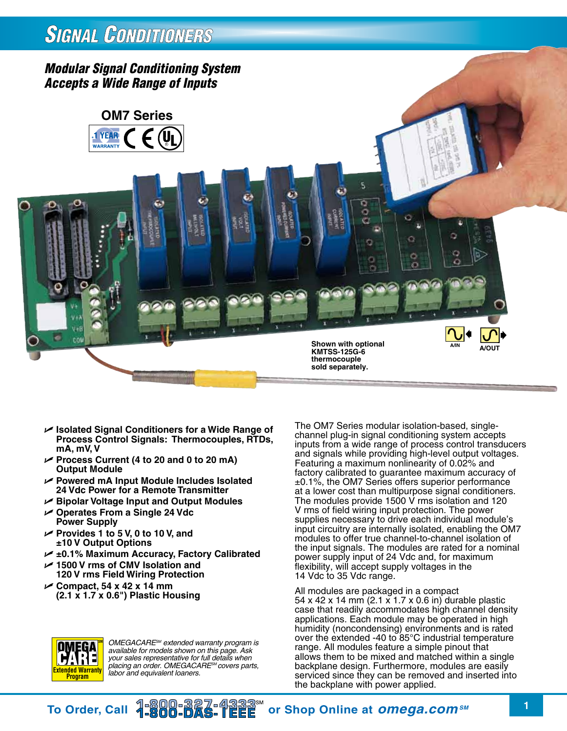# **SIGNAL CONDITIONERS**

## *Modular Signal Conditioning System Accepts a Wide Range of Inputs*



- U **Isolated Signal Conditioners for a Wide Range of Process Control Signals: Thermocouples, RTDs, mA, mV, V**
- U **Process Current (4 to 20 and 0 to 20 mA) Output Module**
- U **Powered mA Input Module Includes Isolated 24 Vdc Power for a Remote Transmitter**
- U **Bipolar Voltage Input and Output Modules**
- U **Operates From a Single 24 Vdc Power Supply**
- U **Provides 1 to 5 V, 0 to 10 V, and ±10 V Output Options**
- U **±0.1% Maximum Accuracy, Factory Calibrated**
- U **1500 V rms of CMV Isolation and 120 V rms Field Wiring Protection**
- U **Compact, 54 x 42 x 14 mm (2.1 x 1.7 x 0.6") Plastic Housing**

**SM** *OMEGACARESM extended warranty program is available for models shown on this page. Ask your sales representative for full details when placing an order. OMEGACARESM covers parts, labor and equivalent loaners.*

The OM7 Series modular isolation-based, singlechannel plug-in signal conditioning system accepts inputs from a wide range of process control transducers and signals while providing high-level output voltages. Featuring a maximum nonlinearity of 0.02% and factory calibrated to guarantee maximum accuracy of ±0.1%, the OM7 Series offers superior performance at a lower cost than multipurpose signal conditioners. The modules provide 1500  $\vee$  rms isolation and 120 V rms of field wiring input protection. The power supplies necessary to drive each individual module's input circuitry are internally isolated, enabling the OM7 modules to offer true channel-to-channel isolation of the input signals. The modules are rated for a nominal power supply input of 24 Vdc and, for maximum flexibility, will accept supply voltages in the 14 Vdc to 35 Vdc range.

All modules are packaged in a compact 54 x 42 x 14 mm (2.1 x 1.7 x 0.6 in) durable plastic case that readily accommodates high channel density applications. Each module may be operated in high humidity (noncondensing) environments and is rated over the extended -40 to 85°C industrial temperature range. All modules feature a simple pinout that allows them to be mixed and matched within a single backplane design. Furthermore, modules are easily serviced since they can be removed and inserted into the backplane with power applied.



DMEGA <u> 18</u> **HA** 

To Order, Call  $\frac{18000-327-43333}{1}$  or Shop Online at *omega.com<sup>sM</sup>* 1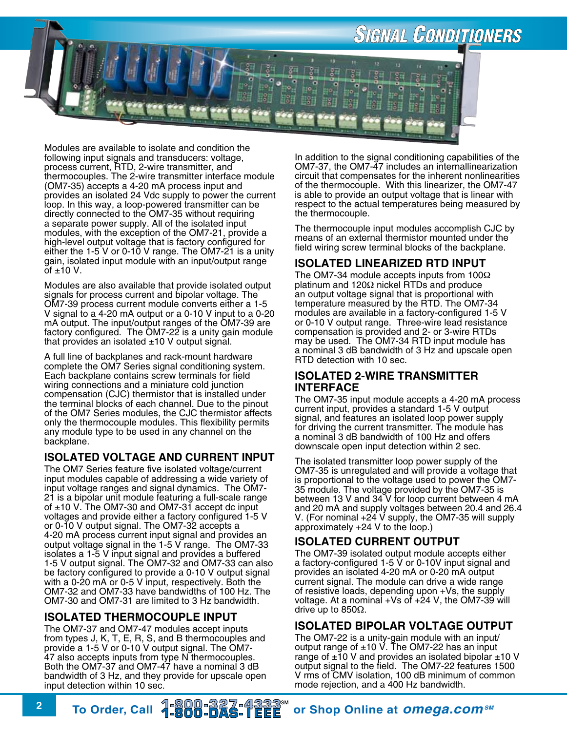

Modules are available to isolate and condition the following input signals and transducers: voltage, process current, RTD, 2-wire transmitter, and thermocouples. The 2-wire transmitter interface module (OM7-35) accepts a 4-20 mA process input and provides an isolated 24 Vdc supply to power the current loop. In this way, a loop-powered transmitter can be directly connected to the OM7-35 without requiring a separate power supply. All of the isolated input modules, with the exception of the OM7-21, provide a high-level output voltage that is factory configured for either the 1-5 V or 0-10 V range. The OM7-21 is a unity gain, isolated input module with an input/output range of  $\pm 10$  V.

Modules are also available that provide isolated output signals for process current and bipolar voltage. The OM7-39 process current module converts either a 1-5 V signal to a 4-20 mA output or a 0-10 V input to a 0-20 mA output. The input/output ranges of the OM7-39 are factory configured. The OM7-22 is a unity gain module that provides an isolated  $±10$  V output signal.

A full line of backplanes and rack-mount hardware complete the OM7 Series signal conditioning system. Each backplane contains screw terminals for field wiring connections and a miniature cold junction compensation (CJC) thermistor that is installed under the terminal blocks of each channel. Due to the pinout of the OM7 Series modules, the CJC thermistor affects only the thermocouple modules. This flexibility permits any module type to be used in any channel on the backplane.

## **Isolated Voltage and Current Input**

The OM7 Series feature five isolated voltage/current input modules capable of addressing a wide variety of input voltage ranges and signal dynamics. The OM7- 21 is a bipolar unit module featuring a full-scale range of  $\pm$ 10 V. The OM7-30 and OM7-31 accept dc input voltages and provide either a factory configured 1-5 V or 0-10 V output signal. The OM7-32 accepts a 4-20 mA process current input signal and provides an output voltage signal in the 1-5 V range. The OM7-33 isolates a 1-5 V input signal and provides a buffered 1-5 V output signal. The OM7-32 and OM7-33 can also be factory configured to provide a 0-10 V output signal with a 0-20 mA or 0-5 V input, respectively. Both the OM7-32 and OM7-33 have bandwidths of 100 Hz. The OM7-30 and OM7-31 are limited to 3 Hz bandwidth.

## **Isolated Thermocouple Input**

The OM7-37 and OM7-47 modules accept inputs from types J, K, T, E, R, S, and B thermocouples and provide a 1-5 V or 0-10 V output signal. The OM7- 47 also accepts inputs from type N thermocouples. Both the OM7-37 and OM7-47 have a nominal 3 dB bandwidth of 3 Hz, and they provide for upscale open input detection within 10 sec.

In addition to the signal conditioning capabilities of the OM7-37, the OM7-47 includes an internallinearization circuit that compensates for the inherent nonlinearities of the thermocouple. With this linearizer, the OM7-47 is able to provide an output voltage that is linear with respect to the actual temperatures being measured by the thermocouple.

The thermocouple input modules accomplish CJC by means of an external thermistor mounted under the field wiring screw terminal blocks of the backplane.

## **Isolated Linearized RTD Input**

The OM7-34 module accepts inputs from 100Ω platinum and 120Ω nickel RTDs and produce an output voltage signal that is proportional with temperature measured by the RTD. The OM7-34 modules are available in a factory-configured 1-5 V or 0-10 V output range. Three-wire lead resistance compensation is provided and 2- or 3-wire RTDs may be used. The OM7-34 RTD input module has a nominal 3 dB bandwidth of 3 Hz and upscale open RTD detection with 10 sec.

### **Isolated 2-Wire Transmitter Interface**

The OM7-35 input module accepts a 4-20 mA process current input, provides a standard 1-5 V output signal, and features an isolated loop power supply for driving the current transmitter. The module has a nominal 3 dB bandwidth of 100 Hz and offers downscale open input detection within 2 sec.

The isolated transmitter loop power supply of the OM7-35 is unregulated and will provide a voltage that is proportional to the voltage used to power the OM7- 35 module. The voltage provided by the OM7-35 is between 13 V and 34 V for loop current between 4 mA and 20 mA and supply voltages between 20.4 and 26.4 V. (For nominal +24 V supply, the OM7-35 will supply approximately +24 V to the loop.)

## **Isolated Current Output**

The OM7-39 isolated output module accepts either a factory-configured 1-5 V or 0-10V input signal and provides an isolated 4-20 mA or 0-20 mA output current signal. The module can drive a wide range of resistive loads, depending upon +Vs, the supply voltage. At a nominal  $+Vs$  of  $+24$  V, the OM7-39 will drive up to 850Ω.

## **Isolated Bipolar Voltage Output**

The OM7-22 is a unity-gain module with an input/ output range of ±10 V. The OM7-22 has an input range of  $\pm$ 10 V and provides an isolated bipolar  $\pm$ 10 V output signal to the field. The OM7-22 features 1500 V rms of CMV isolation, 100 dB minimum of common mode rejection, and a 400 Hz bandwidth.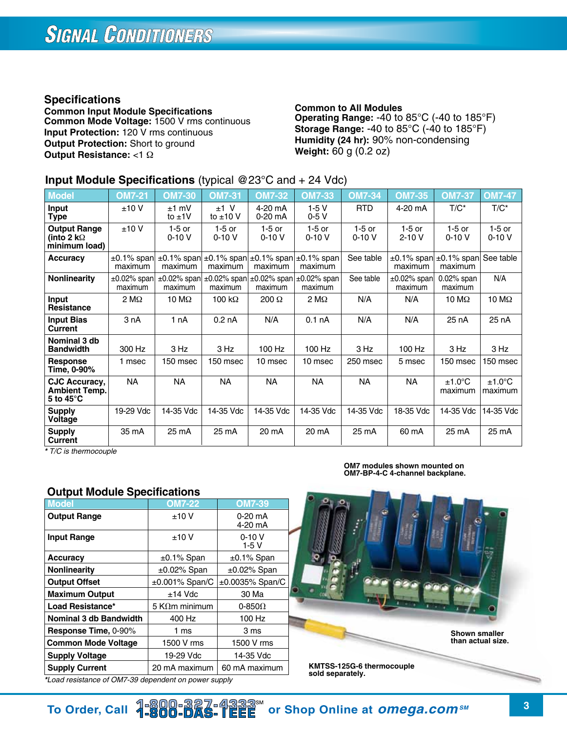## **Specifications**

**Common Input Module Specifications Common Mode Voltage:** 1500 V rms continuous **Input Protection:** 120 V rms continuous **Output Protection:** Short to ground **Output Resistance:** <1 Ω

#### **Common to All Modules Operating Range:** -40 to 85°C (-40 to 185°F) **Storage Range:** -40 to 85°C (-40 to 185°F) **Humidity (24 hr):** 90% non-condensing **Weight:** 60 g (0.2 oz)

## **Input Module Specifications** (typical @23°C and + 24 Vdc)

| <b>Model</b>                                                 | <b>OM7-21</b>                | <b>OM7-30</b>            | <b>OM7-31</b>           | <b>OM7-32</b>                                                    | <b>OM7-33</b>               | <b>OM7-34</b>       | <b>OM7-35</b>                | <b>OM7-37</b>               | <b>OM7-47</b>               |
|--------------------------------------------------------------|------------------------------|--------------------------|-------------------------|------------------------------------------------------------------|-----------------------------|---------------------|------------------------------|-----------------------------|-----------------------------|
| Input<br>Type                                                | ±10V                         | $±1$ mV<br>to $±1V$      | $±1$ V<br>to $\pm 10$ V | 4-20 mA<br>$0-20$ mA                                             | $1-5V$<br>$0-5V$            | <b>RTD</b>          | 4-20 mA                      | $T/C^*$                     | $T/C^*$                     |
| <b>Output Range</b><br>(into 2 k $\Omega$<br>minimum load)   | ±10V                         | 1-5 or<br>$0 - 10V$      | $1-5$ or<br>$0 - 10V$   | $1-5$ or<br>$0-10V$                                              | 1-5 or<br>$0-10V$           | $1-5$ or<br>$0-10V$ | $1-5$ or<br>$2 - 10V$        | $1-5$ or<br>$0-10V$         | $1-5$ or<br>$0 - 10V$       |
| <b>Accuracy</b>                                              | $\pm 0.1\%$ span<br>maximum  | $±0.1\%$ span<br>maximum | maximum                 | $\pm 0.1\%$ span $\pm 0.1\%$ span<br>maximum                     | $\pm 0.1\%$ span<br>maximum | See table           | $±0.1\%$ span<br>maximum     | $±0.1\%$ span<br>maximum    | See table                   |
| <b>Nonlinearity</b>                                          | $\pm 0.02\%$ span<br>maximum | $±0.02%$ span<br>maximum | maximum                 | $\pm 0.02\%$ span $\pm 0.02\%$ span $\pm 0.02\%$ span<br>maximum | maximum                     | See table           | $\pm 0.02\%$ span<br>maximum | $0.02\%$ span<br>maximum    | N/A                         |
| Input<br><b>Resistance</b>                                   | $2 \text{ M}\Omega$          | 10 $M\Omega$             | 100 k $\Omega$          | $200 \Omega$                                                     | $2 M\Omega$                 | N/A                 | N/A                          | 10 M $\Omega$               | $10 \text{ M}\Omega$        |
| <b>Input Bias</b><br>Current                                 | 3 nA                         | 1 nA                     | 0.2 <sub>n</sub> A      | N/A                                                              | 0.1 <sub>n</sub> A          | N/A                 | N/A                          | 25 nA                       | 25 nA                       |
| Nominal 3 db<br><b>Bandwidth</b>                             | 300 Hz                       | 3 Hz                     | 3 Hz                    | 100 Hz                                                           | 100 Hz                      | 3 Hz                | 100 Hz                       | 3 Hz                        | 3 Hz                        |
| Response<br>Time, 0-90%                                      | 1 msec                       | 150 msec                 | 150 msec                | 10 msec                                                          | 10 msec                     | 250 msec            | 5 msec                       | 150 msec                    | 150 msec                    |
| CJC Accuracy,<br><b>Ambient Temp.</b><br>5 to $45^{\circ}$ C | NΑ                           | <b>NA</b>                | ΝA                      | <b>NA</b>                                                        | NA.                         | NA                  | NA.                          | $±1.0^{\circ}$ C<br>maximum | $±1.0^{\circ}$ C<br>maximum |
| <b>Supply</b><br>Voltage                                     | 19-29 Vdc                    | 14-35 Vdc                | 14-35 Vdc               | 14-35 Vdc                                                        | 14-35 Vdc                   | 14-35 Vdc           | 18-35 Vdc                    | 14-35 Vdc                   | 14-35 Vdc                   |
| <b>Supply</b><br>Current                                     | 35 mA                        | 25 mA                    | 25 mA                   | 20 mA                                                            | 20 mA                       | 25 mA               | 60 mA                        | 25 mA                       | 25 mA                       |

*\* T/C is thermocouple*

### **Output Module Specifications**

| <b>Model</b>                  | <b>OM7-22</b>          | <b>OM7-39</b>        |
|-------------------------------|------------------------|----------------------|
| <b>Output Range</b>           | ±10V                   | $0-20$ mA<br>4-20 mA |
| <b>Input Range</b>            | ±10V                   | $0 - 10V$<br>$1-5V$  |
| <b>Accuracy</b>               | $\pm 0.1\%$ Span       | $\pm 0.1\%$ Span     |
| <b>Nonlinearity</b>           | $\pm 0.02\%$ Span      | $\pm 0.02\%$ Span    |
| <b>Output Offset</b>          | $\pm 0.001\%$ Span/C   | ±0.0035% Span/C      |
| <b>Maximum Output</b>         | $±14$ Vdc              | 30 Ma                |
| Load Resistance*              | 5 K $\Omega$ m minimum | 0-850 $\Omega$       |
| <b>Nominal 3 db Bandwidth</b> | 400 Hz                 | 100 Hz               |
| Response Time, 0-90%          | 1 ms                   | 3 ms                 |
| <b>Common Mode Voltage</b>    | 1500 V rms             | 1500 V rms           |
| <b>Supply Voltage</b>         | 19-29 Vdc              | 14-35 Vdc            |
| <b>Supply Current</b>         | 20 mA maximum          | 60 mA maximum        |

**OM7 modules shown mounted on OM7-BP-4-C 4-channel backplane.**



**Shown smaller than actual size.**

**KMTSS-125G-6 thermocouple sold separately.**

*\*Load resistance of OM7-39 dependent on power supply*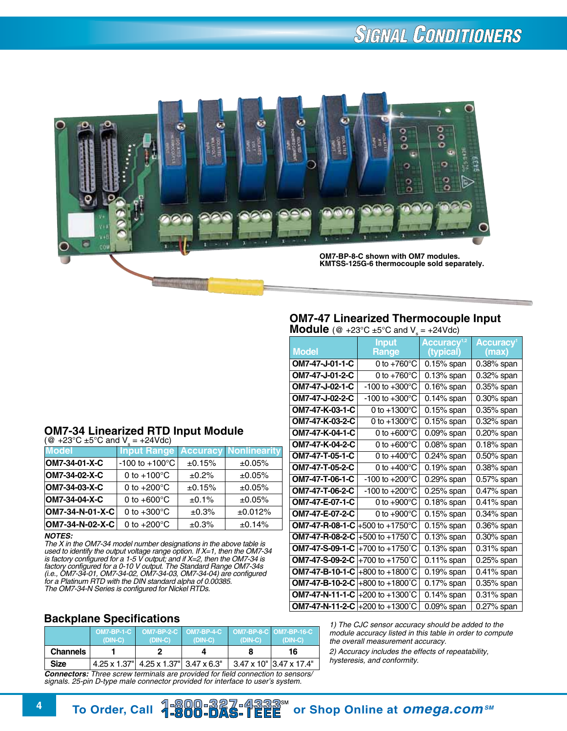# **SIGNAL CONDITIONERS**



#### **OM7-47 Linearized Thermocouple Input Module** (@ +23°C  $\pm$ 5°C and V = +24Vdc)

| <b>Model</b>                            | <b>Input</b><br>Range       | Accuracy <sup>1,2</sup><br>(typical) | <b>Accuracy</b> <sup>1</sup><br>(max) |
|-----------------------------------------|-----------------------------|--------------------------------------|---------------------------------------|
| OM7-47-J-01-1-C                         | 0 to $+760^{\circ}$ C       | $0.15%$ span                         | $0.38\%$ span                         |
| OM7-47-J-01-2-C                         | 0 to $+760^{\circ}$ C       | $0.13%$ span                         | $0.32\%$ span                         |
| OM7-47-J-02-1-C                         | -100 to $+300^{\circ}$ C    | $0.16%$ span                         | $0.35%$ span                          |
| OM7-47-J-02-2-C                         | $-100$ to $+300^{\circ}$ C  | $0.14\%$ span                        | $0.30\%$ span                         |
| OM7-47-K-03-1-C                         | 0 to $+1300^{\circ}$ C      | $0.15%$ span                         | 0.35% span                            |
| OM7-47-K-03-2-C                         | 0 to $+1300^{\circ}$ C      | $0.15%$ span                         | $0.32\%$ span                         |
| OM7-47-K-04-1-C                         | 0 to $+600^{\circ}$ C       | $0.09%$ span                         | $0.20\%$ span                         |
| OM7-47-K-04-2-C                         | 0 to $+600^{\circ}$ C       | $0.08%$ span                         | 0.18% span                            |
| OM7-47-T-05-1-C                         | 0 to $+400^{\circ}$ C       | 0.24% span                           | 0.50% span                            |
| OM7-47-T-05-2-C                         | 0 to $+400^{\circ}$ C       | $0.19%$ span                         | $0.38\%$ span                         |
| OM7-47-T-06-1-C                         | $-100$ to $+200^{\circ}$ C  | 0.29% span                           | $0.57\%$ span                         |
| OM7-47-T-06-2-C                         | -100 to $+200^{\circ}$ C    | $0.25%$ span                         | $0.47\%$ span                         |
| OM7-47-E-07-1-C                         | 0 to $+900^{\circ}$ C       | $0.18%$ span                         | $0.41\%$ span                         |
| OM7-47-E-07-2-C                         | 0 to $+900^{\circ}$ C       | $0.15%$ span                         | $0.34\%$ span                         |
| <b>OM7-47-R-08-1-C</b> +500 to +1750 °C |                             | $0.15%$ span                         | 0.36% span                            |
| OM7-47-R-08-2-C                         | $+500$ to $+1750^{\circ}$ C | $0.13%$ span                         | 0.30% span                            |
| OM7-47-S-09-1-C                         | +700 to +1750°C             | $0.13%$ span                         | $0.31\%$ span                         |
| OM7-47-S-09-2-C                         | +700 to +1750°C             | $0.11\%$ span                        | $0.25%$ span                          |
| OM7-47-B-10-1-C                         | +800 to +1800 $^{\circ}$ C  | $0.19%$ span                         | $0.41\%$ span                         |
| OM7-47-B-10-2-C                         | $+800$ to $+1800^{\circ}$ C | $0.17%$ span                         | 0.35% span                            |
| OM7-47-N-11-1-C                         | +200 to +1300°C             | $0.14\%$ span                        | $0.31\%$ span                         |
| <b>OM7-47-N-11-2-C</b> +200 to +1300 °C |                             | $0.09%$ span                         | 0.27% span                            |

*1) The CJC sensor accuracy should be added to the module accuracy listed in this table in order to compute the overall measurement accuracy.*

*2) Accuracy includes the effects of repeatability, hysteresis, and conformity.*

## **OM7-34 Linearized RTD Input Module**<br>(@ +23°C ±5°C and V<sub>s</sub> = +24Vdc)

| <b>Model</b>    | <b>Input Range</b>         |        | <b>Accuracy Nonlinearity</b> |
|-----------------|----------------------------|--------|------------------------------|
| OM7-34-01-X-C   | $-100$ to $+100^{\circ}$ C | ±0.15% | ±0.05%                       |
| OM7-34-02-X-C   | 0 to $+100^{\circ}$ C      | ±0.2%  | ±0.05%                       |
| OM7-34-03-X-C   | 0 to $+200^{\circ}$ C      | ±0.15% | ±0.05%                       |
| OM7-34-04-X-C   | 0 to $+600^{\circ}$ C      | ±0.1%  | ±0.05%                       |
| OM7-34-N-01-X-C | 0 to $+300^{\circ}$ C      | ±0.3%  | ±0.012%                      |
| OM7-34-N-02-X-C | 0 to $+200^{\circ}$ C      | ±0.3%  | ±0.14%                       |

#### *NOTES:*

*The X in the OM7-34 model number designations in the above table is used to identify the output voltage range option. If X=1, then the OM7-34 is factory configured for a 1-5 V output; and if X=2, then the OM7-34 is factory configured for a 0-10 V output. The Standard Range OM7-34s (i.e., OM7-34-01, OM7-34-02, OM7-34-03, OM7-34-04) are configured for a Platinum RTD with the DIN standard alpha of 0.00385. The OM7-34-N Series is configured for Nickel RTDs.*

## **Backplane Specifications**

|                                                                                        | <b>OM7-BP-1-C</b><br>$(DIN-C)$ | $(DIN-C)$                             | OM7-BP-2-C OM7-BP-4-C OM7-BP-8-C OM7-BP-16-C<br>$(DIN-C)$ | $(DIN-C)$ | $(DIN-C)$                         |
|----------------------------------------------------------------------------------------|--------------------------------|---------------------------------------|-----------------------------------------------------------|-----------|-----------------------------------|
| <b>Channels</b>                                                                        |                                |                                       |                                                           |           | 16                                |
| <b>Size</b>                                                                            |                                | 4.25 x 1.37" 4.25 x 1.37" 3.47 x 6.3" |                                                           |           | $3.47 \times 10^{1}$ 3.47 x 17.4" |
| <b>Connectare:</b> Three cerew terminals are provided for field connection to conserve |                                |                                       |                                                           |           |                                   |

*Connectors: Three screw terminals are provided for field connection to sensors/ signals. 25-pin D-type male connector provided for interface to user's system.*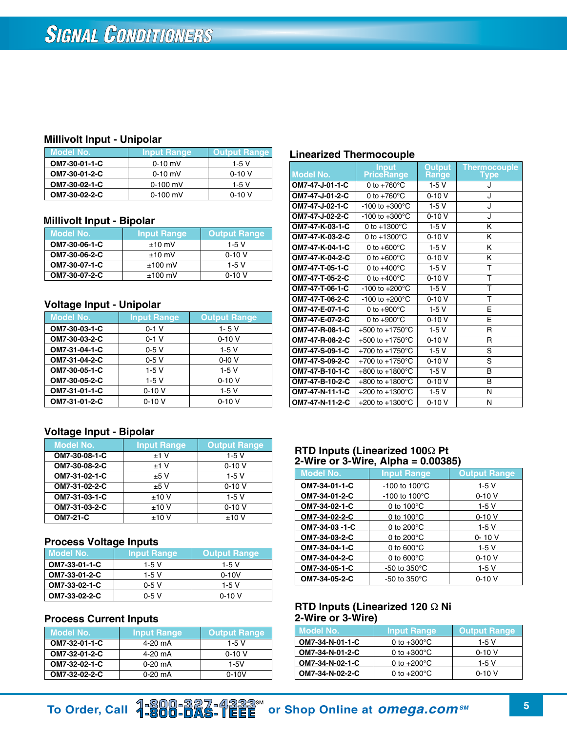#### **Millivolt Input - Unipolar**

| Model No.     | <b>Input Range</b> | Output Range |
|---------------|--------------------|--------------|
| OM7-30-01-1-C | $0 - 10$ mV        | 1-5 V        |
| OM7-30-01-2-C | $0 - 10$ mV        | $0-10V$      |
| OM7-30-02-1-C | $0-100$ mV         | 1-5 V        |
| OM7-30-02-2-C | $0-100$ mV         | $0 - 10V$    |

#### **Millivolt Input - Bipolar**

| Model No.     | <b>Input Range</b> | <b>Output Range</b> |
|---------------|--------------------|---------------------|
| OM7-30-06-1-C | $±10$ mV           | $1-5V$              |
| OM7-30-06-2-C | $±10$ mV           | $0-10V$             |
| OM7-30-07-1-C | $±100$ mV          | $1-5V$              |
| OM7-30-07-2-C | $±100$ mV          | $0-10V$             |

#### **Voltage Input - Unipolar**

| <b>Model No.</b> | <b>Input Range</b> | <b>Output Range</b> |
|------------------|--------------------|---------------------|
| OM7-30-03-1-C    | $0-1$ V            | $1 - 5V$            |
| OM7-30-03-2-C    | $0-1$ V            | $0 - 10V$           |
| OM7-31-04-1-C    | $0-5V$             | $1-5V$              |
| OM7-31-04-2-C    | $0-5V$             | $0-10V$             |
| OM7-30-05-1-C    | $1-5V$             | $1-5V$              |
| OM7-30-05-2-C    | 1-5 V              | $0 - 10V$           |
| OM7-31-01-1-C    | $0 - 10V$          | $1-5V$              |
| OM7-31-01-2-C    | $0 - 10V$          | $0 - 10V$           |

### **Voltage Input - Bipolar**

| <b>Model No.</b> | <b>Input Range</b> | <b>Output Range</b> |
|------------------|--------------------|---------------------|
| OM7-30-08-1-C    | ±1V                | $1-5V$              |
| OM7-30-08-2-C    | ±1V                | $0 - 10V$           |
| OM7-31-02-1-C    | ±5V                | $1-5V$              |
| OM7-31-02-2-C    | ±5V                | $0 - 10V$           |
| OM7-31-03-1-C    | ±10V               | $1-5V$              |
| OM7-31-03-2-C    | ±10V               | $0 - 10V$           |
| <b>OM7-21-C</b>  | ±10V               | ±10V                |

#### **Process Voltage Inputs**

| Model No.     | <b>Input Range</b> | <b>Output Range</b> |
|---------------|--------------------|---------------------|
| OM7-33-01-1-C | $1-5V$             | 1-5 V               |
| OM7-33-01-2-C | $1-5V$             | $0 - 10V$           |
| OM7-33-02-1-C | $0-5V$             | $1-5V$              |
| OM7-33-02-2-C | $0-5V$             | $0 - 10V$           |

## **Process Current Inputs**

| Model No.     | <b>Input Range</b> | <b>Output Range</b> |
|---------------|--------------------|---------------------|
| OM7-32-01-1-C | 4-20 mA            | 1-5 V               |
| OM7-32-01-2-C | 4-20 mA            | $0 - 10V$           |
| OM7-32-02-1-C | $0-20$ mA          | $1-5V$              |
| OM7-32-02-2-C | $0-20$ mA          | $0 - 10V$           |

### **Linearized Thermocouple**

| <b>Model No.</b> | <b>Input</b><br>PriceRange  | Output<br><b>Range</b> | <b>Thermocouple</b><br>Type |
|------------------|-----------------------------|------------------------|-----------------------------|
| OM7-47-J-01-1-C  | 0 to $+760^{\circ}$ C       | $1-5V$                 | J                           |
| OM7-47-J-01-2-C  | 0 to $+760^{\circ}$ C       | $0 - 10V$              | J                           |
| OM7-47-J-02-1-C  | $-100$ to $+300^{\circ}$ C  | $1-5V$                 | J                           |
| OM7-47-J-02-2-C  | $-100$ to $+300^{\circ}$ C  | $0 - 10V$              | J                           |
| OM7-47-K-03-1-C  | 0 to $+1300^{\circ}$ C      | $1-5V$                 | K                           |
| OM7-47-K-03-2-C  | 0 to $+1300^{\circ}$ C      | $0 - 10V$              | Κ                           |
| OM7-47-K-04-1-C  | 0 to $+600^{\circ}$ C       | $1-5V$                 | Κ                           |
| OM7-47-K-04-2-C  | 0 to $+600^{\circ}$ C       | $0-10V$                | Κ                           |
| OM7-47-T-05-1-C  | 0 to $+400^{\circ}$ C       | $1-5V$                 | T                           |
| OM7-47-T-05-2-C  | 0 to $+400^{\circ}$ C       | $0 - 10V$              | т                           |
| OM7-47-T-06-1-C  | $-100$ to $+200^{\circ}$ C  | $1-5V$                 | т                           |
| OM7-47-T-06-2-C  | $-100$ to $+200^{\circ}$ C  | $0-10V$                | T                           |
| OM7-47-E-07-1-C  | 0 to $+900^{\circ}$ C       | $1-5V$                 | E                           |
| OM7-47-E-07-2-C  | 0 to $+900^{\circ}$ C       | $0-10V$                | E                           |
| OM7-47-R-08-1-C  | +500 to +1750 $^{\circ}$ C  | $1-5V$                 | $\mathsf{R}$                |
| OM7-47-R-08-2-C  | +500 to +1750 $^{\circ}$ C  | $0 - 10V$              | $\mathsf{R}$                |
| OM7-47-S-09-1-C  | +700 to +1750 $^{\circ}$ C  | $1-5V$                 | $\overline{\mathsf{s}}$     |
| OM7-47-S-09-2-C  | +700 to +1750 $^{\circ}$ C  | $0 - 10V$              | S                           |
| OM7-47-B-10-1-C  | +800 to +1800 $^{\circ}$ C  | $1-5V$                 | B                           |
| OM7-47-B-10-2-C  | $+800$ to $+1800^{\circ}$ C | $0-10V$                | B                           |
| OM7-47-N-11-1-C  | +200 to +1300 $^{\circ}$ C  | $1-5V$                 | N                           |
| OM7-47-N-11-2-C  | +200 to +1300 $^{\circ}$ C  | $0 - 10V$              | N                           |

#### **RTD Inputs (Linearized 100**Ω **Pt 2-Wire or 3-Wire, Alpha = 0.00385)**

| <b>Model No.</b> | <b>Input Range</b>        | <b>Output Range</b> |
|------------------|---------------------------|---------------------|
| OM7-34-01-1-C    | $-100$ to $100^{\circ}$ C | $1-5V$              |
| OM7-34-01-2-C    | $-100$ to $100^{\circ}$ C | $0 - 10V$           |
| OM7-34-02-1-C    | 0 to $100^{\circ}$ C      | $1-5V$              |
| OM7-34-02-2-C    | 0 to $100^{\circ}$ C      | $0 - 10V$           |
| OM7-34-03-1-C    | 0 to $200^{\circ}$ C      | $1-5V$              |
| OM7-34-03-2-C    | 0 to $200^{\circ}$ C      | $0 - 10V$           |
| OM7-34-04-1-C    | 0 to $600^{\circ}$ C      | $1-5V$              |
| OM7-34-04-2-C    | 0 to $600^{\circ}$ C      | $0 - 10V$           |
| OM7-34-05-1-C    | $-50$ to $350^{\circ}$ C  | $1-5V$              |
| OM7-34-05-2-C    | $-50$ to $350^{\circ}$ C  | $0 - 10V$           |

#### **RTD Inputs (Linearized 120** Ω **Ni 2-Wire or 3-Wire)**

| <b>Model No.</b> | <b>Input Range</b>    | <b>Output Range</b> |
|------------------|-----------------------|---------------------|
| OM7-34-N-01-1-C  | 0 to $+300^{\circ}$ C | 1-5 V               |
| OM7-34-N-01-2-C  | 0 to $+300^{\circ}$ C | $0 - 10V$           |
| OM7-34-N-02-1-C  | 0 to $+200^{\circ}$ C | $1-5V$              |
| OM7-34-N-02-2-C  | 0 to $+200^{\circ}$ C | $0-10V$             |